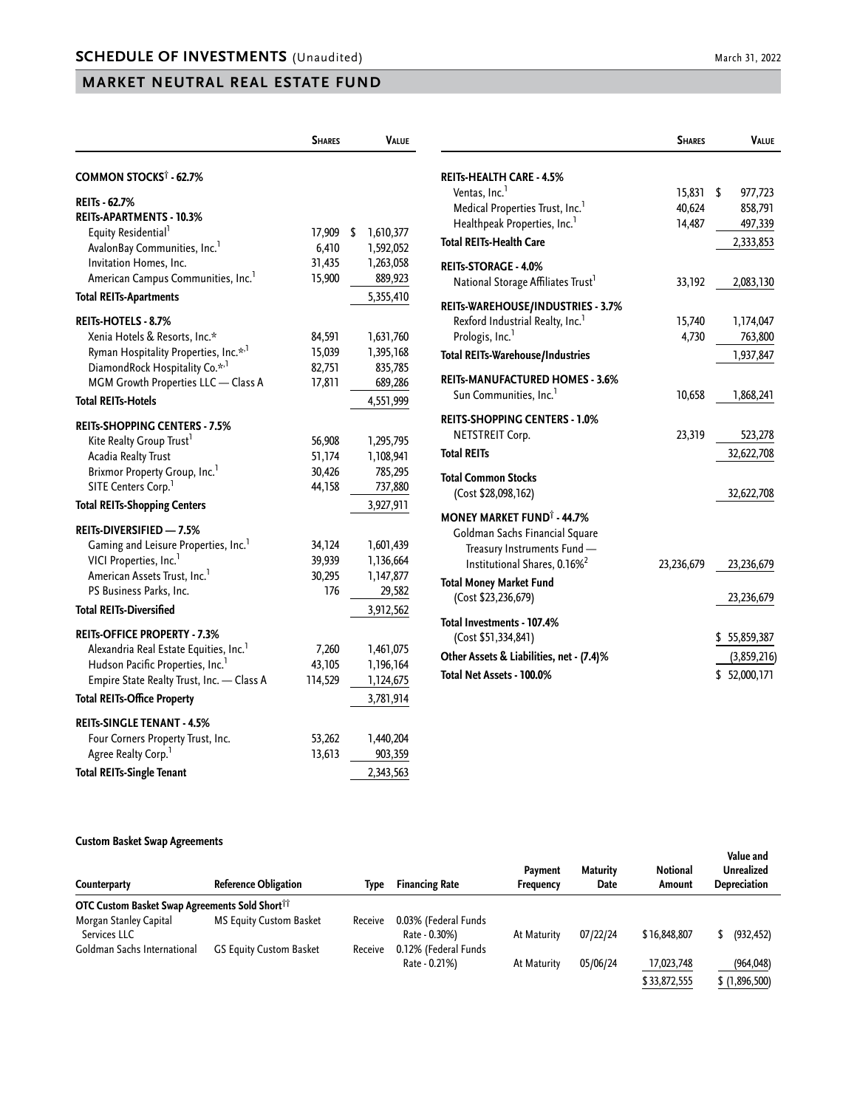## **MARKET NEUTRAL REAL ESTATE FUND**

|                                                                      | <b>SHARES</b>    | <b>VALUE</b>    |
|----------------------------------------------------------------------|------------------|-----------------|
| COMMON STOCKS <sup>†</sup> - 62.7%                                   |                  |                 |
| <b>REITs - 62.7%</b>                                                 |                  |                 |
| <b>REITS-APARTMENTS - 10.3%</b>                                      |                  |                 |
| Equity Residential <sup>1</sup>                                      | 17,909           | \$<br>1,610,377 |
| AvalonBay Communities, Inc. <sup>1</sup>                             | 6,410            | 1,592,052       |
| Invitation Homes, Inc.                                               | 31,435           | 1,263,058       |
| American Campus Communities, Inc. <sup>1</sup>                       | 15,900           | 889,923         |
| <b>Total REITs-Apartments</b>                                        |                  | 5,355,410       |
| REITs-HOTELS - 8.7%                                                  |                  |                 |
| Xenia Hotels & Resorts, Inc.*                                        | 84,591           | 1,631,760       |
| Ryman Hospitality Properties, Inc.*,1                                | 15,039           | 1,395,168       |
| DiamondRock Hospitality Co.* <sup>,1</sup>                           | 82,751           | 835,785         |
| MGM Growth Properties LLC - Class A                                  | 17,811           | 689,286         |
| <b>Total REITs-Hotels</b>                                            |                  | 4,551,999       |
| <b>REITS-SHOPPING CENTERS - 7.5%</b>                                 |                  |                 |
| Kite Realty Group Trust <sup>1</sup>                                 | 56,908           | 1,295,795       |
| Acadia Realty Trust                                                  | 51,174           | 1,108,941       |
| Brixmor Property Group, Inc. <sup>1</sup>                            | 30,426           | 785,295         |
| SITE Centers Corp. <sup>1</sup>                                      | 44,158           | 737,880         |
| <b>Total REITs-Shopping Centers</b>                                  |                  | 3,927,911       |
| REITs-DIVERSIFIED - 7.5%                                             |                  |                 |
| Gaming and Leisure Properties, Inc. <sup>1</sup>                     | 34,124           | 1,601,439       |
| VICI Properties, Inc. <sup>1</sup>                                   | 39,939           | 1,136,664       |
| American Assets Trust, Inc.                                          | 30,295           | 1,147,877       |
| PS Business Parks, Inc.                                              | 176              | 29,582          |
| <b>Total REITs-Diversified</b>                                       |                  | 3,912,562       |
| <b>REITS-OFFICE PROPERTY - 7.3%</b>                                  |                  |                 |
| Alexandria Real Estate Equities, Inc. <sup>1</sup>                   | 7,260            | 1,461,075       |
| Hudson Pacific Properties, Inc. <sup>1</sup>                         | 43,105           | 1,196,164       |
| Empire State Realty Trust, Inc. - Class A                            | 114,529          | 1,124,675       |
| <b>Total REITs-Office Property</b>                                   |                  | 3,781,914       |
|                                                                      |                  |                 |
| <b>REITs-SINGLE TENANT - 4.5%</b>                                    |                  |                 |
| Four Corners Property Trust, Inc.<br>Agree Realty Corp. <sup>1</sup> | 53,262<br>13,613 | 1,440,204       |
|                                                                      |                  | 903,359         |
| <b>Total REITs-Single Tenant</b>                                     |                  | 2,343,563       |

|                                                                                                                                                                       | <b>SHARES</b>              | <b>VALUE</b>                                     |
|-----------------------------------------------------------------------------------------------------------------------------------------------------------------------|----------------------------|--------------------------------------------------|
| REITs-HEALTH CARE - 4.5%<br>Ventas, Inc. <sup>1</sup><br>Medical Properties Trust, Inc. <sup>1</sup><br>Healthpeak Properties, Inc.<br><b>Total REITs-Health Care</b> | 15,831<br>40,624<br>14,487 | \$<br>977,723<br>858,791<br>497,339<br>2,333,853 |
| <b>REITS-STORAGE - 4.0%</b><br>National Storage Affiliates Trust'                                                                                                     | 33,192                     | 2,083,130                                        |
| REITs-WAREHOUSE/INDUSTRIES - 3.7%<br>Rexford Industrial Realty, Inc. <sup>1</sup><br>Prologis, Inc. <sup>1</sup><br><b>Total REITs-Warehouse/Industries</b>           | 15,740<br>4,730            | 1,174,047<br>763,800<br>1,937,847                |
| <b>REITS-MANUFACTURED HOMES - 3.6%</b><br>Sun Communities, Inc. <sup>1</sup>                                                                                          | 10,658                     | 1,868,241                                        |
| <b>REITS-SHOPPING CENTERS - 1.0%</b><br><b>NETSTREIT Corp.</b><br><b>Total REITs</b>                                                                                  | 23,319                     | 523,278<br>32,622,708                            |
| <b>Total Common Stocks</b><br>(Cost \$28,098,162)                                                                                                                     |                            | 32,622,708                                       |
| <b>MONEY MARKET FUND<sup>†</sup> - 44.7%</b><br>Goldman Sachs Financial Square<br>Treasury Instruments Fund -<br>Institutional Shares, 0.16% <sup>2</sup>             | 23,236,679                 | 23,236,679                                       |
| <b>Total Money Market Fund</b><br>(Cost \$23,236,679)                                                                                                                 |                            | 23,236,679                                       |
| Total Investments - 107.4%<br>(Cost \$51,334,841)<br>Other Assets & Liabilities, net - (7.4)%<br>Total Net Assets - 100.0%                                            |                            | \$55,859,387<br>(3,859,216)<br>\$52,000,171      |

## **Custom Basket Swap Agreements**

| Counterparty                                                      | <b>Reference Obligation</b>    | Type    | <b>Financing Rate</b>                 | Payment<br><b>Frequency</b> | <b>Maturity</b><br>Date | <b>Notional</b><br>Amount | Value and<br><b>Unrealized</b><br>Depreciation |
|-------------------------------------------------------------------|--------------------------------|---------|---------------------------------------|-----------------------------|-------------------------|---------------------------|------------------------------------------------|
| <b>OTC Custom Basket Swap Agreements Sold Short</b> <sup>11</sup> |                                |         |                                       |                             |                         |                           |                                                |
| Morgan Stanley Capital<br>Services LLC                            | <b>MS Equity Custom Basket</b> | Receive | 0.03% (Federal Funds<br>Rate - 0.30%) | At Maturity                 | 07/22/24                | \$16,848,807              | (932, 452)                                     |
| Goldman Sachs International                                       | <b>GS Equity Custom Basket</b> | Receive | 0.12% (Federal Funds                  |                             |                         |                           |                                                |
|                                                                   |                                |         | Rate - 0.21%)                         | At Maturity                 | 05/06/24                | 17,023,748                | (964,048)                                      |
|                                                                   |                                |         |                                       |                             |                         | \$33,872,555              | \$(1,896,500)                                  |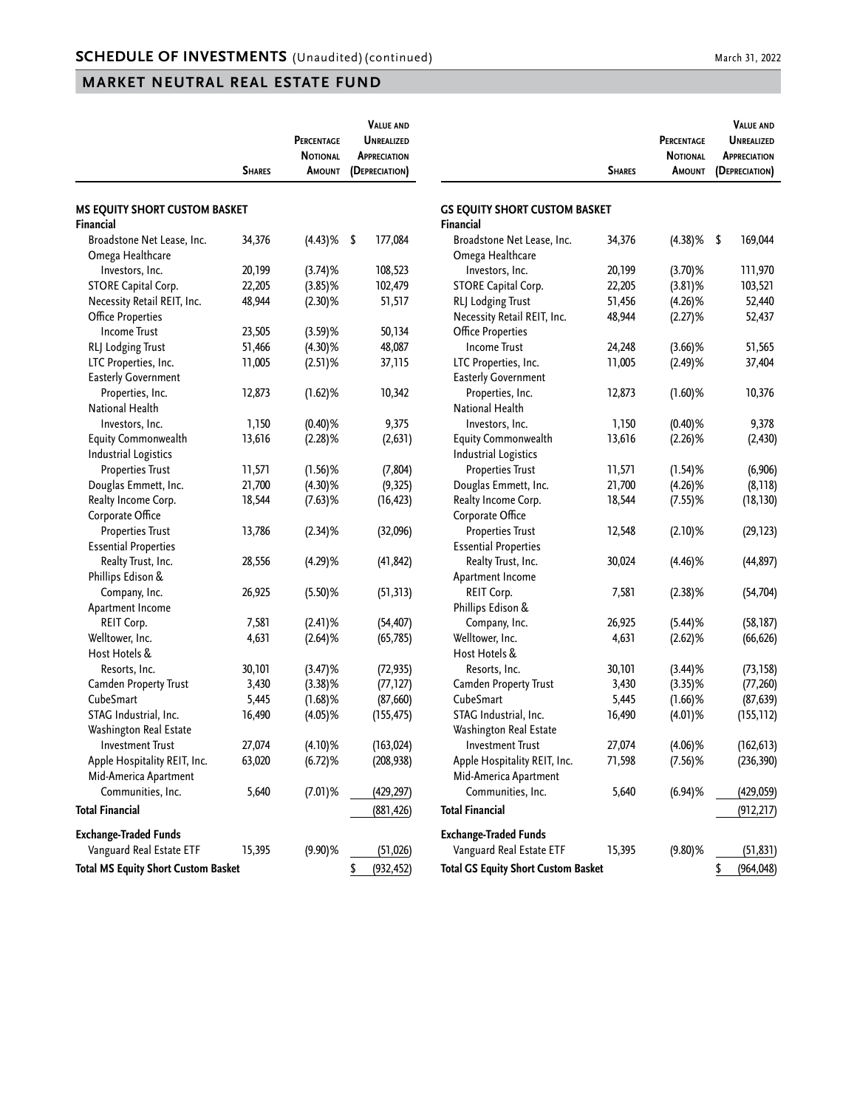## **MARKET NEUTRAL REAL ESTATE FUND**

|                                                          |               | PERCENTAGE<br><b>NOTIONAL</b> | <b>VALUE AND</b><br><b>UNREALIZED</b><br><b>APPRECIATION</b> |  |  |  |  |
|----------------------------------------------------------|---------------|-------------------------------|--------------------------------------------------------------|--|--|--|--|
|                                                          | <b>SHARES</b> | <b>AMOUNT</b>                 | (DEPRECIATION)                                               |  |  |  |  |
| <b>MS EQUITY SHORT CUSTOM BASKET</b><br><b>Financial</b> |               |                               |                                                              |  |  |  |  |
| Broadstone Net Lease, Inc.<br>Omega Healthcare           | 34,376        | (4.43)%                       | \$<br>177,084                                                |  |  |  |  |
| Investors, Inc.                                          | 20,199        | $(3.74)$ %                    | 108,523                                                      |  |  |  |  |
| STORE Capital Corp.                                      | 22,205        | $(3.85)$ %                    | 102,479                                                      |  |  |  |  |
| Necessity Retail REIT, Inc.                              | 48,944        | $(2.30)$ %                    | 51,517                                                       |  |  |  |  |
| <b>Office Properties</b>                                 |               |                               |                                                              |  |  |  |  |
| <b>Income Trust</b>                                      | 23,505        | $(3.59)$ %                    | 50,134                                                       |  |  |  |  |
| RLJ Lodging Trust                                        | 51,466        | $(4.30)$ %                    | 48,087                                                       |  |  |  |  |
|                                                          |               |                               |                                                              |  |  |  |  |
| LTC Properties, Inc.                                     | 11,005        | $(2.51)$ %                    | 37,115                                                       |  |  |  |  |
| <b>Easterly Government</b>                               |               |                               |                                                              |  |  |  |  |
| Properties, Inc.<br>National Health                      | 12,873        | $(1.62)$ %                    | 10,342                                                       |  |  |  |  |
| Investors, Inc.                                          | 1,150         | $(0.40)$ %                    | 9,375                                                        |  |  |  |  |
| Equity Commonwealth                                      | 13,616        | $(2.28)$ %                    | (2, 631)                                                     |  |  |  |  |
| <b>Industrial Logistics</b>                              |               |                               |                                                              |  |  |  |  |
| <b>Properties Trust</b>                                  | 11,571        | $(1.56)$ %                    | (7, 804)                                                     |  |  |  |  |
| Douglas Emmett, Inc.                                     | 21,700        | $(4.30)$ %                    | (9, 325)                                                     |  |  |  |  |
| Realty Income Corp.                                      | 18,544        | $(7.63)$ %                    | (16, 423)                                                    |  |  |  |  |
| Corporate Office                                         |               |                               |                                                              |  |  |  |  |
| <b>Properties Trust</b>                                  | 13,786        | $(2.34)$ %                    | (32,096)                                                     |  |  |  |  |
| <b>Essential Properties</b>                              |               |                               |                                                              |  |  |  |  |
| Realty Trust, Inc.                                       | 28,556        | $(4.29)$ %                    | (41, 842)                                                    |  |  |  |  |
| Phillips Edison &                                        |               |                               |                                                              |  |  |  |  |
| Company, Inc.                                            | 26,925        | $(5.50)$ %                    | (51, 313)                                                    |  |  |  |  |
| Apartment Income                                         |               |                               |                                                              |  |  |  |  |
| REIT Corp.                                               | 7,581         | $(2.41)$ %                    | (54, 407)                                                    |  |  |  |  |
| Welltower, Inc.                                          | 4,631         | $(2.64)$ %                    | (65, 785)                                                    |  |  |  |  |
| Host Hotels &                                            |               |                               |                                                              |  |  |  |  |
| Resorts, Inc.                                            | 30,101        | $(3.47)$ %                    | (72, 935)                                                    |  |  |  |  |
| Camden Property Trust                                    | 3,430         | $(3.38)$ %                    | (77, 127)                                                    |  |  |  |  |
| CubeSmart                                                | 5,445         | $(1.68)$ %                    | (87, 660)                                                    |  |  |  |  |
| STAG Industrial, Inc.                                    | 16,490        | $(4.05)$ %                    | (155, 475)                                                   |  |  |  |  |
| Washington Real Estate                                   |               |                               |                                                              |  |  |  |  |
| <b>Investment Trust</b>                                  | 27,074        | $(4.10)$ %                    | (163, 024)                                                   |  |  |  |  |
| Apple Hospitality REIT, Inc.                             | 63,020        | (6.72)%                       | (208, 938)                                                   |  |  |  |  |
| Mid-America Apartment                                    |               |                               |                                                              |  |  |  |  |
| Communities, Inc.                                        | 5,640         | $(7.01)$ %                    | (429, 297)                                                   |  |  |  |  |
| <b>Total Financial</b>                                   |               |                               | (881,426)                                                    |  |  |  |  |
| <b>Exchange-Traded Funds</b>                             |               |                               |                                                              |  |  |  |  |
| Vanguard Real Estate ETF                                 | 15,395        | $(9.90)$ %                    | (51, 026)                                                    |  |  |  |  |
| <b>Total MS Equity Short Custom Basket</b>               |               |                               | \$                                                           |  |  |  |  |
|                                                          |               |                               | (932,452)                                                    |  |  |  |  |

|                                            | <b>SHARES</b> | PERCENTAGE<br><b>NOTIONAL</b><br><b>AMOUNT</b> | <b>VALUE AND</b><br><b>UNREALIZED</b><br><b>APPRECIATION</b><br>(DEPRECIATION) |
|--------------------------------------------|---------------|------------------------------------------------|--------------------------------------------------------------------------------|
| <b>GS EQUITY SHORT CUSTOM BASKET</b>       |               |                                                |                                                                                |
| Financial                                  |               |                                                |                                                                                |
| Broadstone Net Lease, Inc.                 | 34,376        | $(4.38)$ %                                     | \$<br>169,044                                                                  |
| Omega Healthcare                           |               |                                                |                                                                                |
| Investors, Inc.                            | 20,199        | $(3.70)$ %                                     | 111,970                                                                        |
| <b>STORE Capital Corp.</b>                 | 22,205        | $(3.81)$ %                                     | 103,521                                                                        |
| RLJ Lodging Trust                          | 51,456        | $(4.26)$ %                                     | 52,440                                                                         |
| Necessity Retail REIT, Inc.                | 48,944        | (2.27)%                                        | 52,437                                                                         |
| <b>Office Properties</b>                   |               |                                                |                                                                                |
| <b>Income Trust</b>                        | 24,248        | $(3.66)$ %                                     | 51,565                                                                         |
| LTC Properties, Inc.                       | 11,005        | $(2.49)$ %                                     | 37,404                                                                         |
| <b>Easterly Government</b>                 |               |                                                |                                                                                |
| Properties, Inc.                           | 12,873        | $(1.60)$ %                                     | 10,376                                                                         |
| National Health                            |               |                                                |                                                                                |
| Investors, Inc.                            | 1,150         | $(0.40)$ %                                     | 9,378                                                                          |
| <b>Equity Commonwealth</b>                 | 13,616        | $(2.26)$ %                                     | (2, 430)                                                                       |
| <b>Industrial Logistics</b>                |               |                                                |                                                                                |
| <b>Properties Trust</b>                    | 11,571        | $(1.54)$ %                                     | (6,906)                                                                        |
| Douglas Emmett, Inc.                       | 21,700        | $(4.26)$ %                                     | (8, 118)                                                                       |
| Realty Income Corp.                        | 18,544        | $(7.55)$ %                                     | (18, 130)                                                                      |
| Corporate Office                           |               |                                                |                                                                                |
| <b>Properties Trust</b>                    | 12,548        | $(2.10)$ %                                     | (29, 123)                                                                      |
| <b>Essential Properties</b>                |               |                                                |                                                                                |
| Realty Trust, Inc.                         | 30,024        | $(4.46)$ %                                     | (44, 897)                                                                      |
| Apartment Income                           |               |                                                |                                                                                |
| REIT Corp.                                 | 7,581         | $(2.38)$ %                                     | (54, 704)                                                                      |
| Phillips Edison &                          |               |                                                |                                                                                |
| Company, Inc.                              | 26,925        | (5.44)%                                        | (58, 187)                                                                      |
| Welltower, Inc.                            | 4,631         | $(2.62)$ %                                     | (66, 626)                                                                      |
| Host Hotels &                              |               |                                                |                                                                                |
| Resorts, Inc.                              | 30,101        | $(3.44)$ %                                     | (73, 158)                                                                      |
| <b>Camden Property Trust</b>               | 3,430         | $(3.35)$ %                                     | (77, 260)                                                                      |
| CubeSmart                                  | 5,445         | $(1.66)$ %                                     | (87, 639)                                                                      |
| STAG Industrial, Inc.                      | 16,490        | $(4.01)$ %                                     | (155, 112)                                                                     |
| Washington Real Estate                     |               |                                                |                                                                                |
| <b>Investment Trust</b>                    | 27,074        | $(4.06)$ %                                     | (162, 613)                                                                     |
| Apple Hospitality REIT, Inc.               | 71,598        | $(7.56)$ %                                     | (236, 390)                                                                     |
| Mid-America Apartment                      |               |                                                |                                                                                |
| Communities, Inc.                          | 5,640         | $(6.94)$ %                                     | (429, 059)                                                                     |
| Total Financial                            |               |                                                | (912, 217)                                                                     |
| <b>Exchange-Traded Funds</b>               |               |                                                |                                                                                |
| Vanguard Real Estate ETF                   | 15,395        | $(9.80)\%$                                     | (51, 831)                                                                      |
| <b>Total GS Equity Short Custom Basket</b> |               |                                                | \$<br>(964,048)                                                                |
|                                            |               |                                                |                                                                                |